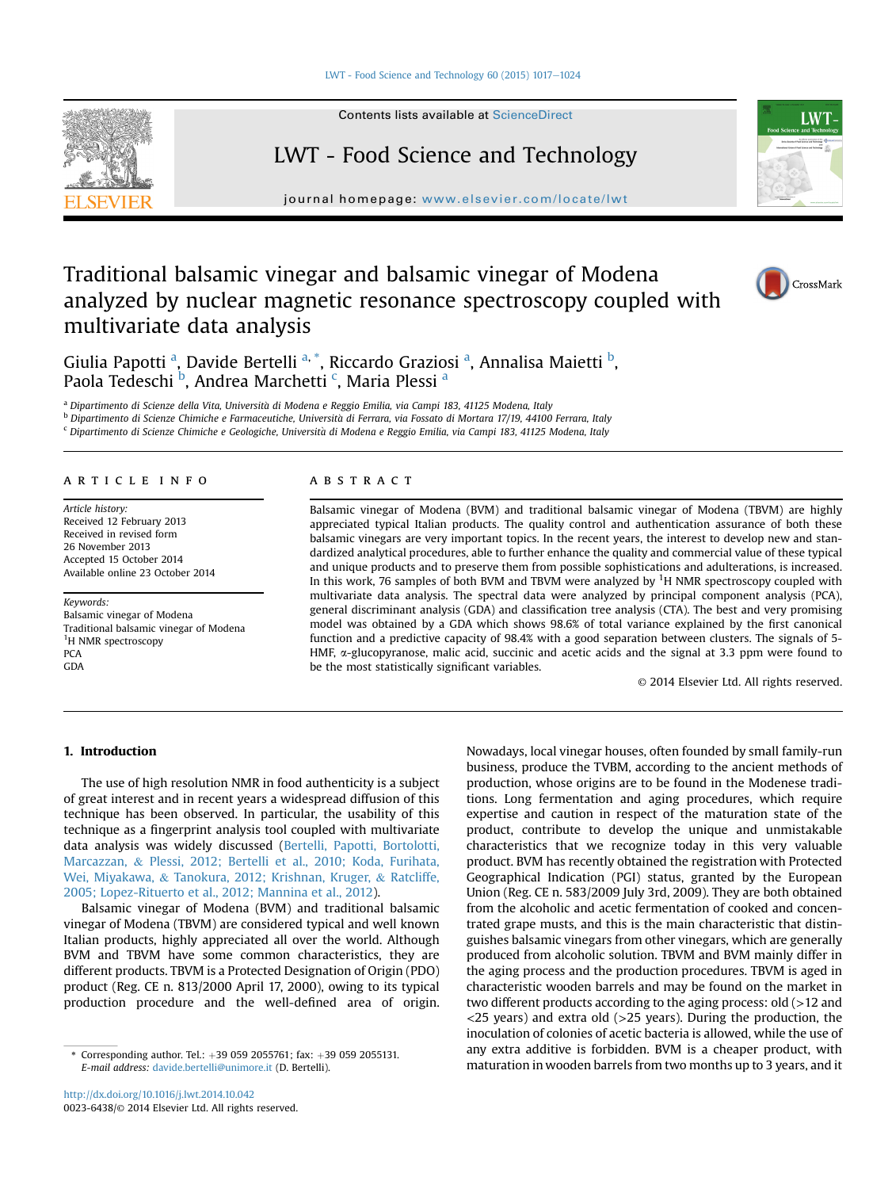#### LWT - Food Science and Technology 60 (2015)  $1017-1024$  $1017-1024$



Contents lists available at ScienceDirect

# LWT - Food Science and Technology

journal homepage: [www.elsevier.com/locate/lwt](http://www.elsevier.com/locate/lwt)

# Traditional balsamic vinegar and balsamic vinegar of Modena analyzed by nuclear magnetic resonance spectroscopy coupled with multivariate data analysis



**LWT** 



Giulia Papotti <sup>a</sup>, Davide Bertelli <sup>a, \*</sup>, Riccardo Graziosi <sup>a</sup>, Annalisa Maietti <sup>b</sup>, Paola Tedeschi <sup>b</sup>, Andrea Marchetti <sup>c</sup>, Maria Plessi <sup>a</sup>

a Dipartimento di Scienze della Vita, Università di Modena e Reggio Emilia, via Campi 183, 41125 Modena, Italy

<sup>b</sup> Dipartimento di Scienze Chimiche e Farmaceutiche, Universita di Ferrara, via Fossato di Mortara 17/19, 44100 Ferrara, Italy

<sup>c</sup> Dipartimento di Scienze Chimiche e Geologiche, Universita di Modena e Reggio Emilia, via Campi 183, 41125 Modena, Italy

## article info

Article history: Received 12 February 2013 Received in revised form 26 November 2013 Accepted 15 October 2014 Available online 23 October 2014

Keywords: Balsamic vinegar of Modena Traditional balsamic vinegar of Modena <sup>1</sup>H NMR spectroscopy **PCA GDA** 

## **ABSTRACT**

Balsamic vinegar of Modena (BVM) and traditional balsamic vinegar of Modena (TBVM) are highly appreciated typical Italian products. The quality control and authentication assurance of both these balsamic vinegars are very important topics. In the recent years, the interest to develop new and standardized analytical procedures, able to further enhance the quality and commercial value of these typical and unique products and to preserve them from possible sophistications and adulterations, is increased. In this work, 76 samples of both BVM and TBVM were analyzed by <sup>1</sup>H NMR spectroscopy coupled with multivariate data analysis. The spectral data were analyzed by principal component analysis (PCA), general discriminant analysis (GDA) and classification tree analysis (CTA). The best and very promising model was obtained by a GDA which shows 98.6% of total variance explained by the first canonical function and a predictive capacity of 98.4% with a good separation between clusters. The signals of 5- HMF,  $\alpha$ -glucopyranose, malic acid, succinic and acetic acids and the signal at 3.3 ppm were found to be the most statistically significant variables.

© 2014 Elsevier Ltd. All rights reserved.

# 1. Introduction

The use of high resolution NMR in food authenticity is a subject of great interest and in recent years a widespread diffusion of this technique has been observed. In particular, the usability of this technique as a fingerprint analysis tool coupled with multivariate data analysis was widely discussed ([Bertelli, Papotti, Bortolotti,](#page-6-0) [Marcazzan,](#page-6-0) & [Plessi, 2012; Bertelli et al., 2010; Koda, Furihata,](#page-6-0) [Wei, Miyakawa,](#page-6-0) & [Tanokura, 2012; Krishnan, Kruger,](#page-6-0) & [Ratcliffe,](#page-6-0) [2005; Lopez-Rituerto et al., 2012; Mannina et al., 2012](#page-6-0)).

Balsamic vinegar of Modena (BVM) and traditional balsamic vinegar of Modena (TBVM) are considered typical and well known Italian products, highly appreciated all over the world. Although BVM and TBVM have some common characteristics, they are different products. TBVM is a Protected Designation of Origin (PDO) product (Reg. CE n. 813/2000 April 17, 2000), owing to its typical production procedure and the well-defined area of origin.

Nowadays, local vinegar houses, often founded by small family-run business, produce the TVBM, according to the ancient methods of production, whose origins are to be found in the Modenese traditions. Long fermentation and aging procedures, which require expertise and caution in respect of the maturation state of the product, contribute to develop the unique and unmistakable characteristics that we recognize today in this very valuable product. BVM has recently obtained the registration with Protected Geographical Indication (PGI) status, granted by the European Union (Reg. CE n. 583/2009 July 3rd, 2009). They are both obtained from the alcoholic and acetic fermentation of cooked and concentrated grape musts, and this is the main characteristic that distinguishes balsamic vinegars from other vinegars, which are generally produced from alcoholic solution. TBVM and BVM mainly differ in the aging process and the production procedures. TBVM is aged in characteristic wooden barrels and may be found on the market in two different products according to the aging process: old (>12 and  $\langle$ 25 years) and extra old ( $>$ 25 years). During the production, the inoculation of colonies of acetic bacteria is allowed, while the use of any extra additive is forbidden. BVM is a cheaper product, with Corresponding author. Tel.: +39 059 2055761; fax: +39 059 2055131. any extra-additive is forbidden. BVM is a cheaper-product, With<br>E-mail address: davide.bertelli@unimore.it (D. Bertelli). https://www.maturation in wooden

E-mail address: [davide.bertelli@unimore.it](mailto:davide.bertelli@unimore.it) (D. Bertelli).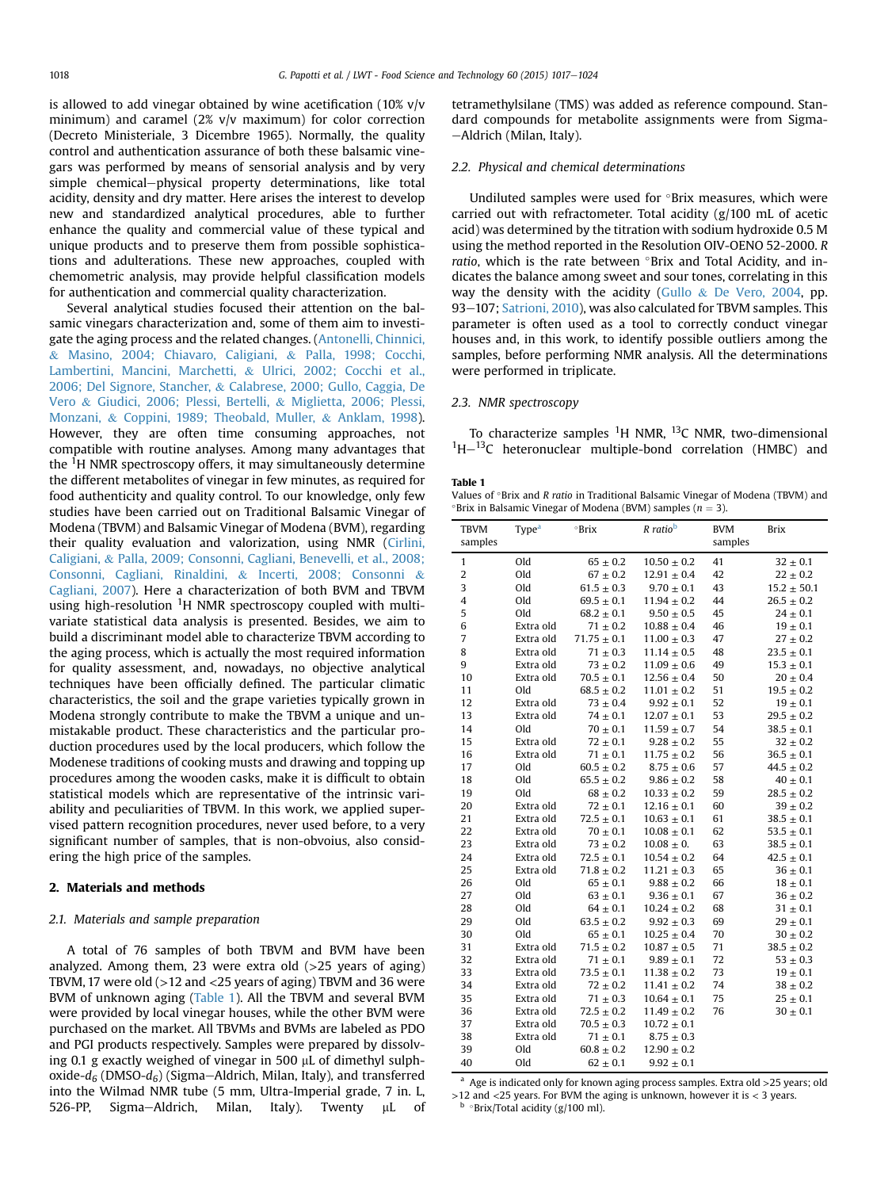<span id="page-1-0"></span>is allowed to add vinegar obtained by wine acetification (10% v/v minimum) and caramel (2% v/v maximum) for color correction (Decreto Ministeriale, 3 Dicembre 1965). Normally, the quality control and authentication assurance of both these balsamic vinegars was performed by means of sensorial analysis and by very simple chemical-physical property determinations, like total acidity, density and dry matter. Here arises the interest to develop new and standardized analytical procedures, able to further enhance the quality and commercial value of these typical and unique products and to preserve them from possible sophistications and adulterations. These new approaches, coupled with chemometric analysis, may provide helpful classification models for authentication and commercial quality characterization.

Several analytical studies focused their attention on the balsamic vinegars characterization and, some of them aim to investigate the aging process and the related changes. ([Antonelli, Chinnici,](#page-6-0) & [Masino, 2004; Chiavaro, Caligiani,](#page-6-0) & [Palla, 1998; Cocchi,](#page-6-0) [Lambertini, Mancini, Marchetti,](#page-6-0) & [Ulrici, 2002; Cocchi et al.,](#page-6-0) [2006; Del Signore, Stancher,](#page-6-0) & [Calabrese, 2000; Gullo, Caggia, De](#page-6-0) [Vero](#page-6-0) & [Giudici, 2006; Plessi, Bertelli,](#page-6-0) & [Miglietta, 2006; Plessi,](#page-6-0) [Monzani,](#page-6-0) & [Coppini, 1989; Theobald, Muller,](#page-6-0) & [Anklam, 1998\)](#page-6-0). However, they are often time consuming approaches, not compatible with routine analyses. Among many advantages that the <sup>1</sup>H NMR spectroscopy offers, it may simultaneously determine the different metabolites of vinegar in few minutes, as required for food authenticity and quality control. To our knowledge, only few studies have been carried out on Traditional Balsamic Vinegar of Modena (TBVM) and Balsamic Vinegar of Modena (BVM), regarding their quality evaluation and valorization, using NMR [\(Cirlini,](#page-6-0) [Caligiani,](#page-6-0) & [Palla, 2009; Consonni, Cagliani, Benevelli, et al., 2008;](#page-6-0) [Consonni, Cagliani, Rinaldini,](#page-6-0) & [Incerti, 2008; Consonni](#page-6-0) & [Cagliani, 2007\)](#page-6-0). Here a characterization of both BVM and TBVM using high-resolution <sup>1</sup>H NMR spectroscopy coupled with multivariate statistical data analysis is presented. Besides, we aim to build a discriminant model able to characterize TBVM according to the aging process, which is actually the most required information for quality assessment, and, nowadays, no objective analytical techniques have been officially defined. The particular climatic characteristics, the soil and the grape varieties typically grown in Modena strongly contribute to make the TBVM a unique and unmistakable product. These characteristics and the particular production procedures used by the local producers, which follow the Modenese traditions of cooking musts and drawing and topping up procedures among the wooden casks, make it is difficult to obtain statistical models which are representative of the intrinsic variability and peculiarities of TBVM. In this work, we applied supervised pattern recognition procedures, never used before, to a very significant number of samples, that is non-obvoius, also considering the high price of the samples.

#### 2. Materials and methods

#### 2.1. Materials and sample preparation

A total of 76 samples of both TBVM and BVM have been analyzed. Among them, 23 were extra old  $(>25$  years of aging) TBVM, 17 were old (>12 and <25 years of aging) TBVM and 36 were BVM of unknown aging (Table 1). All the TBVM and several BVM were provided by local vinegar houses, while the other BVM were purchased on the market. All TBVMs and BVMs are labeled as PDO and PGI products respectively. Samples were prepared by dissolving 0.1 g exactly weighed of vinegar in 500  $\mu$ L of dimethyl sulphoxide- $d_6$  (DMSO- $d_6$ ) (Sigma-Aldrich, Milan, Italy), and transferred into the Wilmad NMR tube (5 mm, Ultra-Imperial grade, 7 in. L, 526-PP, Sigma-Aldrich, Milan, Italy). Twenty µL of tetramethylsilane (TMS) was added as reference compound. Standard compounds for metabolite assignments were from Sigma--Aldrich (Milan, Italy).

# 2.2. Physical and chemical determinations

Undiluted samples were used for  $\circ$ Brix measures, which were carried out with refractometer. Total acidity (g/100 mL of acetic acid) was determined by the titration with sodium hydroxide 0.5 M using the method reported in the Resolution OIV-OENO 52-2000. R ratio, which is the rate between °Brix and Total Acidity, and indicates the balance among sweet and sour tones, correlating in this way the density with the acidity ([Gullo](#page-6-0)  $&$  [De Vero, 2004,](#page-6-0) pp. 93-107; [Satrioni, 2010\)](#page-7-0), was also calculated for TBVM samples. This parameter is often used as a tool to correctly conduct vinegar houses and, in this work, to identify possible outliers among the samples, before performing NMR analysis. All the determinations were performed in triplicate.

## 2.3. NMR spectroscopy

To characterize samples <sup>1</sup>H NMR, <sup>13</sup>C NMR, two-dimensional  ${}^{1}$ H $-{}^{13}$ C heteronuclear multiple-bond correlation (HMBC) and

### Table 1

Values of °Brix and R ratio in Traditional Balsamic Vinegar of Modena (TBVM) and  $^{\circ}$ Brix in Balsamic Vinegar of Modena (BVM) samples ( $n=3$ ).

| <b>TBVM</b>    | Type <sup>a</sup> | $^{\circ}$ Brix    | R ratio <sup>b</sup> | <b>BVM</b> | Brix               |
|----------------|-------------------|--------------------|----------------------|------------|--------------------|
| samples        |                   |                    |                      | samples    |                    |
| $\mathbf{1}$   | Old               | $65 \pm 0.2$       | $10.50 \pm 0.2$      | 41         | $32 \pm 0.1$       |
| 2              | Old               | $67 \pm 0.2$       | $12.91 \pm 0.4$      | 42         | $22 \pm 0.2$       |
| 3              | Old               | $61.5$ $\pm$ $0.3$ | $9.70 \pm 0.1$       | 43         | $15.2 \pm 50.1$    |
| 4              | Old               | $69.5 \pm 0.1$     | $11.94 \pm 0.2$      | 44         | $26.5 \pm 0.2$     |
| 5              | Old               | $68.2 \pm 0.1$     | $9.50 \pm 0.5$       | 45         | $24 \pm 0.1$       |
| 6              | Extra old         | $71 \pm 0.2$       | $10.88 \pm 0.4$      | 46         | $19 \pm 0.1$       |
| $\overline{7}$ | Extra old         | $71.75\,\pm\,0.1$  | $11.00 \pm 0.3$      | 47         | $27 \pm 0.2$       |
| 8              | Extra old         | $71\pm0.3$         | $11.14 \pm 0.5$      | 48         | $23.5 \pm 0.1$     |
| 9              | Extra old         | $73 \pm 0.2$       | $11.09 \pm 0.6$      | 49         | $15.3 \pm 0.1$     |
| 10             | Extra old         | $70.5 \pm 0.1$     | $12.56 \pm 0.4$      | 50         | $20 \pm 0.4$       |
| 11             | Old               | $68.5 \pm 0.2$     | $11.01 \pm 0.2$      | 51         | $19.5 \pm 0.2$     |
| 12             | Extra old         | $73 \pm 0.4$       | $9.92 \pm 0.1$       | 52         | $19 \pm 0.1$       |
| 13             | Extra old         | $74 \pm 0.1$       | $12.07 \pm 0.1$      | 53         | $29.5 \pm 0.2$     |
| 14             | Old               | $70 \pm 0.1$       | $11.59 \pm 0.7$      | 54         | $38.5 \pm 0.1$     |
| 15             | Extra old         | $72 \pm 0.1$       | $9.28 \pm 0.2$       | 55         | $32 \pm 0.2$       |
| 16             | Extra old         | $71 \pm 0.1$       | $11.75 \pm 0.2$      | 56         | $36.5$ $\pm$ $0.1$ |
| 17             | Old               | $60.5$ $\pm$ $0.2$ | $8.75 \pm 0.6$       | 57         | $44.5 \pm 0.2$     |
| 18             | Old               | $65.5 \pm 0.2$     | $9.86 \pm 0.2$       | 58         | $40 \pm 0.1$       |
| 19             | Old               | $68 \pm 0.2$       | $10.33\,\pm\,0.2$    | 59         | $28.5$ $\pm$ $0.2$ |
| 20             | Extra old         | $72 \pm 0.1$       | $12.16 \pm 0.1$      | 60         | $39 \pm 0.2$       |
| 21             | Extra old         | $72.5 \pm 0.1$     | $10.63 \pm 0.1$      | 61         | $38.5$ $\pm$ $0.1$ |
| 22             | Extra old         | $70 \pm 0.1$       | $10.08 \pm 0.1$      | 62         | $53.5 \pm 0.1$     |
| 23             | Extra old         | $73 \pm 0.2$       | $10.08 \pm 0.$       | 63         | $38.5 \pm 0.1$     |
| 24             | Extra old         | $72.5 \pm 0.1$     | $10.54 \pm 0.2$      | 64         | $42.5\pm0.1$       |
| 25             | Extra old         | $71.8 \pm 0.2$     | $11.21 \pm 0.3$      | 65         | $36 \pm 0.1$       |
| 26             | Old               | $65\pm0.1$         | $9.88 \pm 0.2$       | 66         | $18 \pm 0.1$       |
| 27             | Old               | $63 \pm 0.1$       | $9.36 \pm 0.1$       | 67         | $36 \pm 0.2$       |
| 28             | Old               | $64 \pm 0.1$       | $10.24 \pm 0.2$      | 68         | $31\pm0.1$         |
| 29             | Old               | $63.5 \pm 0.2$     | $9.92 \pm 0.3$       | 69         | $29 \pm 0.1$       |
| 30             | Old               | $65 \pm 0.1$       | $10.25 \pm 0.4$      | 70         | $30 \pm 0.2$       |
| 31             | Extra old         | $71.5 \pm 0.2$     | $10.87 \pm 0.5$      | 71         | $38.5 \pm 0.2$     |
| 32             | Extra old         | $71 \pm 0.1$       | $9.89 \pm 0.1$       | 72         | $53 \pm 0.3$       |
| 33             | Extra old         | $73.5 \pm 0.1$     | $11.38 \pm 0.2$      | 73         | $19 \pm 0.1$       |
| 34             | Extra old         | $72 \pm 0.2$       | $11.41 \pm 0.2$      | 74         | $38 \pm 0.2$       |
| 35             | Extra old         | $71 \pm 0.3$       | $10.64 \pm 0.1$      | 75         | $25 \pm 0.1$       |
| 36             | Extra old         | $72.5 \pm 0.2$     | $11.49 \pm 0.2$      | 76         | $30 \pm 0.1$       |
| 37             | Extra old         | $70.5 \pm 0.3$     | $10.72 \pm 0.1$      |            |                    |
| 38             | Extra old         | $71 \pm 0.1$       | $8.75 \pm 0.3$       |            |                    |
| 39             | Old               | $60.8 \pm 0.2$     | $12.90 \pm 0.2$      |            |                    |
| 40             | Old               | $62 \pm 0.1$       | $9.92 \pm 0.1$       |            |                    |

 $a$  Age is indicated only for known aging process samples. Extra old  $>$ 25 years; old >12 and <25 years. For BVM the aging is unknown, however it is < 3 years. **b**  $\circ$ Brix/Total acidity (g/100 ml).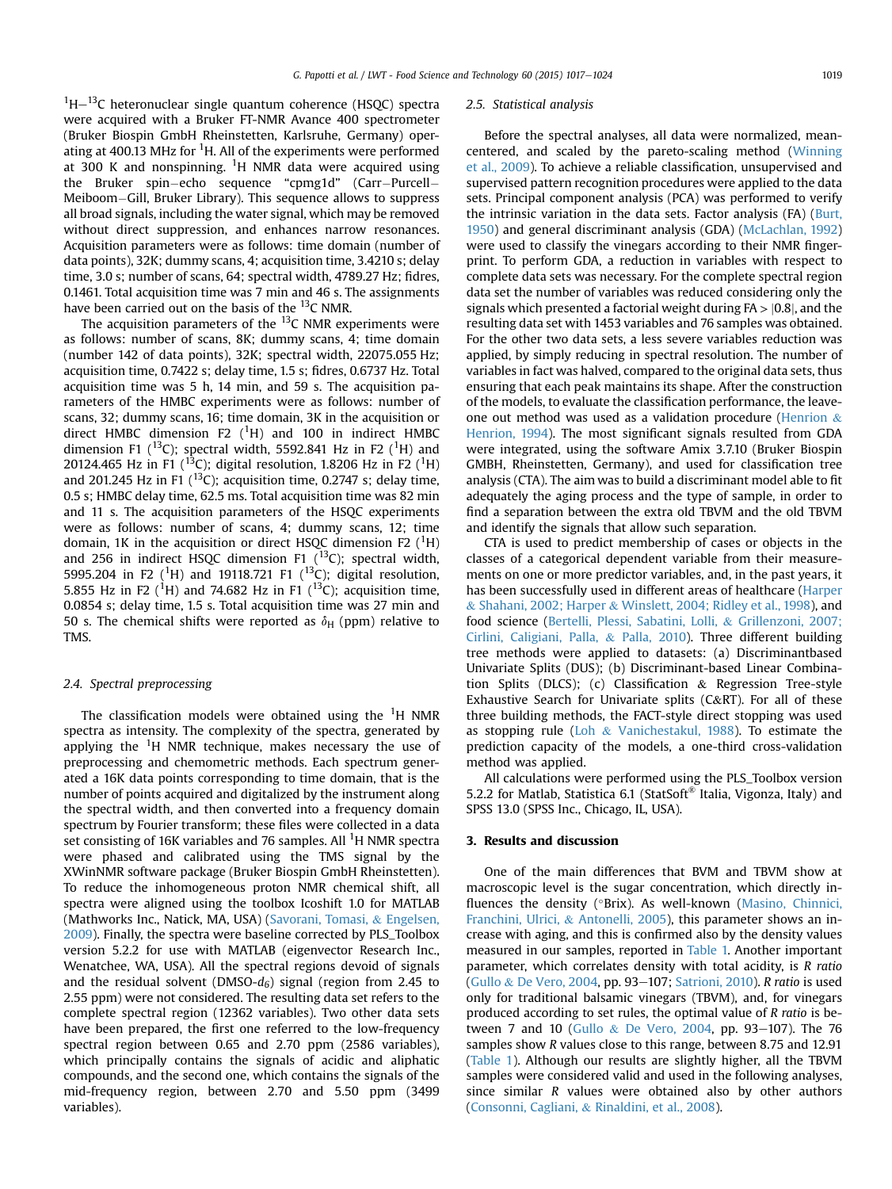$1H-13C$  heteronuclear single quantum coherence (HSQC) spectra were acquired with a Bruker FT-NMR Avance 400 spectrometer (Bruker Biospin GmbH Rheinstetten, Karlsruhe, Germany) operating at 400.13 MHz for <sup>1</sup>H. All of the experiments were performed at 300 K and nonspinning. <sup>1</sup>H NMR data were acquired using the Bruker spin-echo sequence "cpmg1d" (Carr-Purcell-Meiboom–Gill, Bruker Library). This sequence allows to suppress all broad signals, including the water signal, which may be removed without direct suppression, and enhances narrow resonances. Acquisition parameters were as follows: time domain (number of data points), 32K; dummy scans, 4; acquisition time, 3.4210 s; delay time, 3.0 s; number of scans, 64; spectral width, 4789.27 Hz; fidres, 0.1461. Total acquisition time was 7 min and 46 s. The assignments have been carried out on the basis of the  $^{13}$ C NMR.

The acquisition parameters of the  $^{13}$ C NMR experiments were as follows: number of scans, 8K; dummy scans, 4; time domain (number 142 of data points), 32K; spectral width, 22075.055 Hz; acquisition time, 0.7422 s; delay time, 1.5 s; fidres, 0.6737 Hz. Total acquisition time was 5 h, 14 min, and 59 s. The acquisition parameters of the HMBC experiments were as follows: number of scans, 32; dummy scans, 16; time domain, 3K in the acquisition or direct HMBC dimension F2  $(^1H)$  and 100 in indirect HMBC dimension F1 (<sup>13</sup>C); spectral width, 5592.841 Hz in F2 (<sup>1</sup>H) and 20124.465 Hz in F1 (<sup>13</sup>C); digital resolution, 1.8206 Hz in F2 (<sup>1</sup>H) and 201.245 Hz in F1  $(^{13}C)$ ; acquisition time, 0.2747 s; delay time, 0.5 s; HMBC delay time, 62.5 ms. Total acquisition time was 82 min and 11 s. The acquisition parameters of the HSQC experiments were as follows: number of scans, 4; dummy scans, 12; time domain, 1K in the acquisition or direct HSQC dimension F2  $(^{1}H)$ and 256 in indirect HSQC dimension F1  $(^{13}C)$ ; spectral width, 5995.204 in F2 (<sup>1</sup>H) and 19118.721 F1 (<sup>13</sup>C); digital resolution, 5.855 Hz in F2 (<sup>1</sup>H) and 74.682 Hz in F1 (<sup>13</sup>C); acquisition time, 0.0854 s; delay time, 1.5 s. Total acquisition time was 27 min and 50 s. The chemical shifts were reported as  $\delta_H$  (ppm) relative to TMS.

#### 2.4. Spectral preprocessing

The classification models were obtained using the  $^1\mathrm{H}$  NMR spectra as intensity. The complexity of the spectra, generated by applying the  ${}^{1}$ H NMR technique, makes necessary the use of preprocessing and chemometric methods. Each spectrum generated a 16K data points corresponding to time domain, that is the number of points acquired and digitalized by the instrument along the spectral width, and then converted into a frequency domain spectrum by Fourier transform; these files were collected in a data set consisting of 16K variables and 76 samples. All <sup>1</sup>H NMR spectra were phased and calibrated using the TMS signal by the XWinNMR software package (Bruker Biospin GmbH Rheinstetten). To reduce the inhomogeneous proton NMR chemical shift, all spectra were aligned using the toolbox Icoshift 1.0 for MATLAB (Mathworks Inc., Natick, MA, USA) [\(Savorani, Tomasi,](#page-7-0) & [Engelsen,](#page-7-0) [2009\)](#page-7-0). Finally, the spectra were baseline corrected by PLS\_Toolbox version 5.2.2 for use with MATLAB (eigenvector Research Inc., Wenatchee, WA, USA). All the spectral regions devoid of signals and the residual solvent (DMSO- $d_6$ ) signal (region from 2.45 to 2.55 ppm) were not considered. The resulting data set refers to the complete spectral region (12362 variables). Two other data sets have been prepared, the first one referred to the low-frequency spectral region between 0.65 and 2.70 ppm (2586 variables), which principally contains the signals of acidic and aliphatic compounds, and the second one, which contains the signals of the mid-frequency region, between 2.70 and 5.50 ppm (3499 variables).

#### 2.5. Statistical analysis

Before the spectral analyses, all data were normalized, meancentered, and scaled by the pareto-scaling method ([Winning](#page-7-0) [et al., 2009\)](#page-7-0). To achieve a reliable classification, unsupervised and supervised pattern recognition procedures were applied to the data sets. Principal component analysis (PCA) was performed to verify the intrinsic variation in the data sets. Factor analysis (FA) [\(Burt,](#page-6-0) [1950\)](#page-6-0) and general discriminant analysis (GDA) [\(McLachlan, 1992\)](#page-6-0) were used to classify the vinegars according to their NMR fingerprint. To perform GDA, a reduction in variables with respect to complete data sets was necessary. For the complete spectral region data set the number of variables was reduced considering only the signals which presented a factorial weight during  $FA > |0.8|$ , and the resulting data set with 1453 variables and 76 samples was obtained. For the other two data sets, a less severe variables reduction was applied, by simply reducing in spectral resolution. The number of variables in fact was halved, compared to the original data sets, thus ensuring that each peak maintains its shape. After the construction of the models, to evaluate the classification performance, the leaveone out method was used as a validation procedure ([Henrion](#page-6-0) & [Henrion, 1994](#page-6-0)). The most significant signals resulted from GDA were integrated, using the software Amix 3.7.10 (Bruker Biospin GMBH, Rheinstetten, Germany), and used for classification tree analysis (CTA). The aim was to build a discriminant model able to fit adequately the aging process and the type of sample, in order to find a separation between the extra old TBVM and the old TBVM and identify the signals that allow such separation.

CTA is used to predict membership of cases or objects in the classes of a categorical dependent variable from their measurements on one or more predictor variables, and, in the past years, it has been successfully used in different areas of healthcare [\(Harper](#page-6-0) & [Shahani, 2002; Harper](#page-6-0) & [Winslett, 2004; Ridley et al., 1998](#page-6-0)), and food science [\(Bertelli, Plessi, Sabatini, Lolli,](#page-6-0) & [Grillenzoni, 2007;](#page-6-0) [Cirlini, Caligiani, Palla,](#page-6-0) & [Palla, 2010](#page-6-0)). Three different building tree methods were applied to datasets: (a) Discriminantbased Univariate Splits (DUS); (b) Discriminant-based Linear Combination Splits (DLCS); (c) Classification & Regression Tree-style Exhaustive Search for Univariate splits (C&RT). For all of these three building methods, the FACT-style direct stopping was used as stopping rule ([Loh](#page-6-0) & [Vanichestakul, 1988](#page-6-0)). To estimate the prediction capacity of the models, a one-third cross-validation method was applied.

All calculations were performed using the PLS\_Toolbox version 5.2.2 for Matlab, Statistica 6.1 (StatSoft® Italia, Vigonza, Italy) and SPSS 13.0 (SPSS Inc., Chicago, IL, USA).

# 3. Results and discussion

One of the main differences that BVM and TBVM show at macroscopic level is the sugar concentration, which directly in-fluences the density (°Brix). As well-known [\(Masino, Chinnici,](#page-6-0) [Franchini, Ulrici,](#page-6-0) & [Antonelli, 2005](#page-6-0)), this parameter shows an increase with aging, and this is confirmed also by the density values measured in our samples, reported in [Table 1.](#page-1-0) Another important parameter, which correlates density with total acidity, is R ratio ([Gullo](#page-6-0) & [De Vero, 2004](#page-6-0), pp. 93-107; [Satrioni, 2010\)](#page-7-0). R ratio is used only for traditional balsamic vinegars (TBVM), and, for vinegars produced according to set rules, the optimal value of R ratio is be-tween 7 and 10 ([Gullo](#page-6-0) & [De Vero, 2004](#page-6-0), pp. 93-107). The 76 samples show R values close to this range, between 8.75 and 12.91 ([Table 1\)](#page-1-0). Although our results are slightly higher, all the TBVM samples were considered valid and used in the following analyses, since similar R values were obtained also by other authors ([Consonni, Cagliani,](#page-6-0) & [Rinaldini, et al., 2008\)](#page-6-0).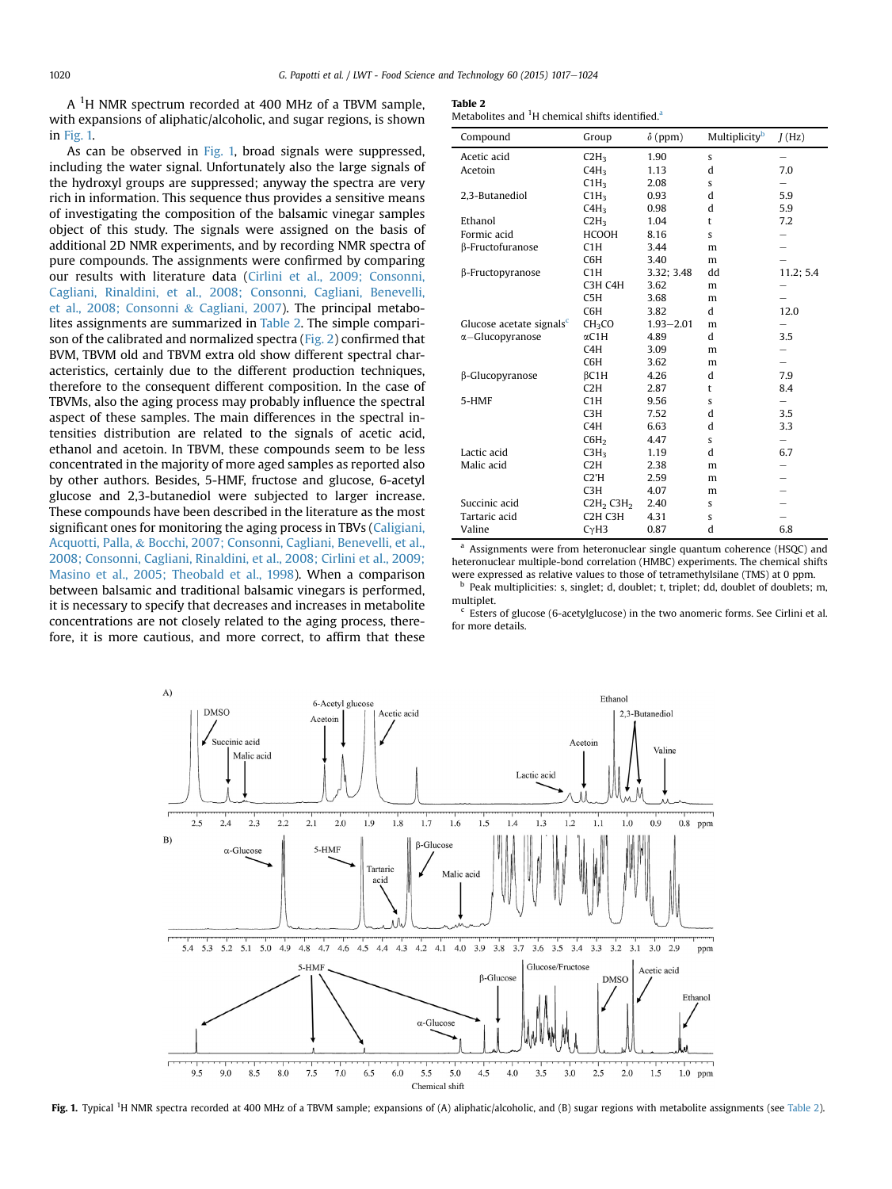A  $^1\mathrm{H}$  NMR spectrum recorded at 400 MHz of a TBVM sample, with expansions of aliphatic/alcoholic, and sugar regions, is shown in Fig. 1.

As can be observed in Fig. 1, broad signals were suppressed, including the water signal. Unfortunately also the large signals of the hydroxyl groups are suppressed; anyway the spectra are very rich in information. This sequence thus provides a sensitive means of investigating the composition of the balsamic vinegar samples object of this study. The signals were assigned on the basis of additional 2D NMR experiments, and by recording NMR spectra of pure compounds. The assignments were confirmed by comparing our results with literature data ([Cirlini et al., 2009; Consonni,](#page-6-0) [Cagliani, Rinaldini, et al., 2008; Consonni, Cagliani, Benevelli,](#page-6-0) [et al., 2008; Consonni](#page-6-0) & [Cagliani, 2007](#page-6-0)). The principal metabolites assignments are summarized in Table 2. The simple comparison of the calibrated and normalized spectra ([Fig. 2](#page-4-0)) confirmed that BVM, TBVM old and TBVM extra old show different spectral characteristics, certainly due to the different production techniques, therefore to the consequent different composition. In the case of TBVMs, also the aging process may probably influence the spectral aspect of these samples. The main differences in the spectral intensities distribution are related to the signals of acetic acid, ethanol and acetoin. In TBVM, these compounds seem to be less concentrated in the majority of more aged samples as reported also by other authors. Besides, 5-HMF, fructose and glucose, 6-acetyl glucose and 2,3-butanediol were subjected to larger increase. These compounds have been described in the literature as the most significant ones for monitoring the aging process in TBVs [\(Caligiani,](#page-6-0) [Acquotti, Palla,](#page-6-0) & [Bocchi, 2007; Consonni, Cagliani, Benevelli, et al.,](#page-6-0) [2008; Consonni, Cagliani, Rinaldini, et al., 2008; Cirlini et al., 2009;](#page-6-0) [Masino et al., 2005; Theobald et al., 1998](#page-6-0)). When a comparison between balsamic and traditional balsamic vinegars is performed, it is necessary to specify that decreases and increases in metabolite concentrations are not closely related to the aging process, therefore, it is more cautious, and more correct, to affirm that these

#### Table 2

Metabolites and  ${}^{1}$ H chemical shifts identified.<sup>a</sup>

| Compound                             | Group                             | $\delta$ (ppm) | Multiplicity <sup>b</sup> | J(Hz)     |
|--------------------------------------|-----------------------------------|----------------|---------------------------|-----------|
| Acetic acid                          | C2H <sub>3</sub>                  | 1.90           | s                         |           |
| Acetoin                              | C4H <sub>3</sub>                  | 1.13           | d                         | 7.0       |
|                                      | CHH <sub>3</sub>                  | 2.08           | s                         |           |
| 2,3-Butanediol                       | CHH <sub>3</sub>                  | 0.93           | d                         | 5.9       |
|                                      | C4H <sub>3</sub>                  | 0.98           | d                         | 5.9       |
| Ethanol                              | C2H <sub>3</sub>                  | 1.04           | t                         | 7.2       |
| Formic acid                          | <b>HCOOH</b>                      | 8.16           | s                         |           |
| β-Fructofuranose                     | C1H                               | 3.44           | m                         |           |
|                                      | C6H                               | 3.40           | m                         |           |
| β-Fructopyranose                     | C1H                               | 3.32; 3.48     | dd                        | 11.2; 5.4 |
|                                      | C3H C4H                           | 3.62           | m                         |           |
|                                      | C5H                               | 3.68           | m                         |           |
|                                      | C6H                               | 3.82           | d                         | 12.0      |
| Glucose acetate signals <sup>c</sup> | CH <sub>3</sub> CO                | $1.93 - 2.01$  | m                         |           |
| $\alpha$ -Glucopyranose              | $\alpha$ C1H                      | 4.89           | d                         | 3.5       |
|                                      | C4H                               | 3.09           | m                         |           |
|                                      | C6H                               | 3.62           | m                         |           |
| β-Glucopyranose                      | $\beta$ C1H                       | 4.26           | d                         | 7.9       |
|                                      | C2H                               | 2.87           | t                         | 8.4       |
| 5-HMF                                | C1H                               | 9.56           | S                         | -         |
|                                      | C <sub>3</sub> H                  | 7.52           | d                         | 3.5       |
|                                      | C <sub>4</sub> H                  | 6.63           | d                         | 3.3       |
|                                      | C6H <sub>2</sub>                  | 4.47           | S                         |           |
| Lactic acid                          | C3H <sub>3</sub>                  | 1.19           | d                         | 6.7       |
| Malic acid                           | C2H                               | 2.38           | m                         |           |
|                                      | C2'H                              | 2.59           | m                         |           |
|                                      | C <sub>3</sub> H                  | 4.07           | m                         |           |
| Succinic acid                        | C2H <sub>2</sub> C3H <sub>2</sub> | 2.40           | $\mathbf{s}$              |           |
| Tartaric acid                        | C <sub>2</sub> H C <sub>3</sub> H | 4.31           | S                         |           |
| Valine                               | CyH3                              | 0.87           | d                         | 6.8       |

<sup>a</sup> Assignments were from heteronuclear single quantum coherence (HSQC) and heteronuclear multiple-bond correlation (HMBC) experiments. The chemical shifts were expressed as relative values to those of tetramethylsilane (TMS) at 0 ppm.

b Peak multiplicities: s, singlet; d, doublet; t, triplet; dd, doublet of doublets; m, multiplet.

 $c$  Esters of glucose (6-acetylglucose) in the two anomeric forms. See Cirlini et al. for more details.



Fig. 1. Typical <sup>1</sup>H NMR spectra recorded at 400 MHz of a TBVM sample; expansions of (A) aliphatic/alcoholic, and (B) sugar regions with metabolite assignments (see Table 2).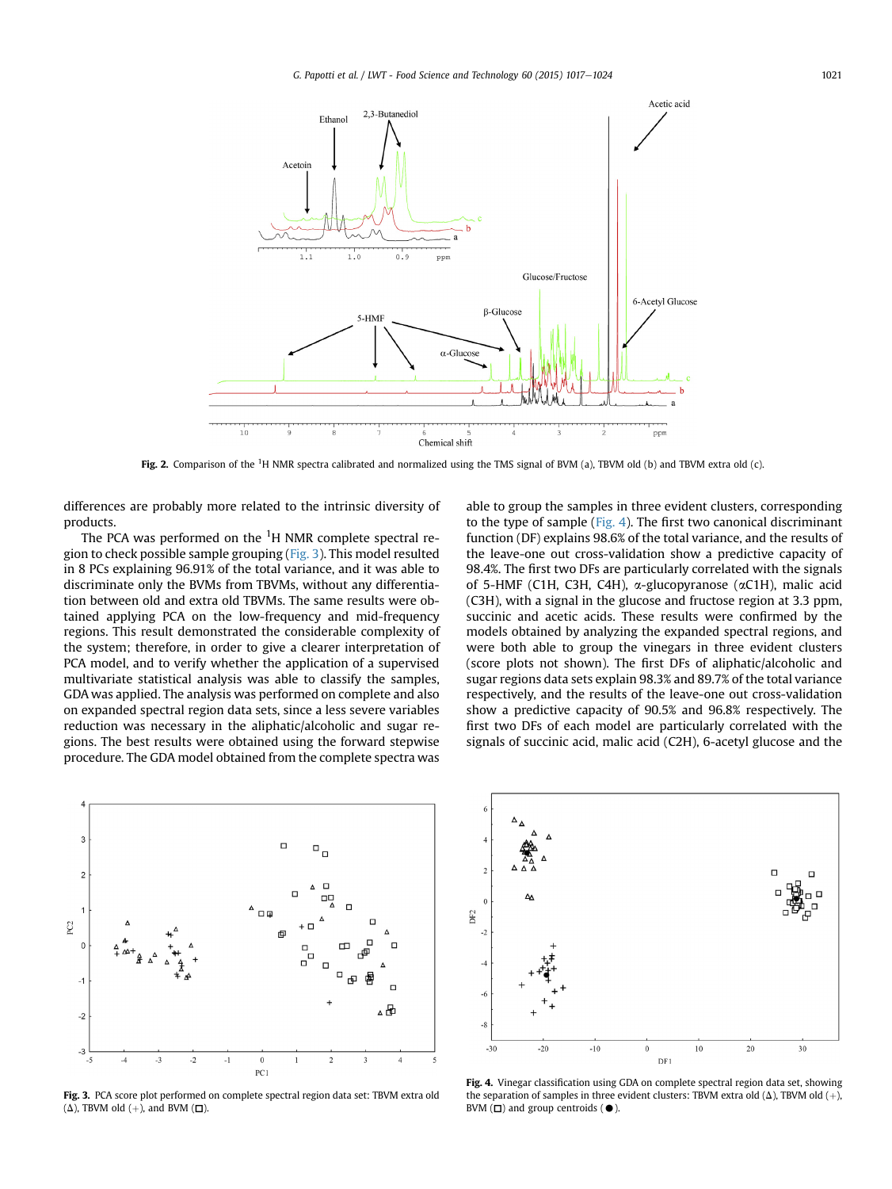<span id="page-4-0"></span>

Fig. 2. Comparison of the <sup>1</sup>H NMR spectra calibrated and normalized using the TMS signal of BVM (a), TBVM old (b) and TBVM extra old (c).

differences are probably more related to the intrinsic diversity of products.

The PCA was performed on the  $^1\mathrm{H}$  NMR complete spectral region to check possible sample grouping (Fig. 3). This model resulted in 8 PCs explaining 96.91% of the total variance, and it was able to discriminate only the BVMs from TBVMs, without any differentiation between old and extra old TBVMs. The same results were obtained applying PCA on the low-frequency and mid-frequency regions. This result demonstrated the considerable complexity of the system; therefore, in order to give a clearer interpretation of PCA model, and to verify whether the application of a supervised multivariate statistical analysis was able to classify the samples, GDA was applied. The analysis was performed on complete and also on expanded spectral region data sets, since a less severe variables reduction was necessary in the aliphatic/alcoholic and sugar regions. The best results were obtained using the forward stepwise procedure. The GDA model obtained from the complete spectra was

able to group the samples in three evident clusters, corresponding to the type of sample (Fig. 4). The first two canonical discriminant function (DF) explains 98.6% of the total variance, and the results of the leave-one out cross-validation show a predictive capacity of 98.4%. The first two DFs are particularly correlated with the signals of 5-HMF (C1H, C3H, C4H),  $\alpha$ -glucopyranose ( $\alpha$ C1H), malic acid (C3H), with a signal in the glucose and fructose region at 3.3 ppm, succinic and acetic acids. These results were confirmed by the models obtained by analyzing the expanded spectral regions, and were both able to group the vinegars in three evident clusters (score plots not shown). The first DFs of aliphatic/alcoholic and sugar regions data sets explain 98.3% and 89.7% of the total variance respectively, and the results of the leave-one out cross-validation show a predictive capacity of 90.5% and 96.8% respectively. The first two DFs of each model are particularly correlated with the signals of succinic acid, malic acid (C2H), 6-acetyl glucose and the



Fig. 3. PCA score plot performed on complete spectral region data set: TBVM extra old  $(\Delta)$ , TBVM old  $(+)$ , and BVM  $(\Box)$ .



Fig. 4. Vinegar classification using GDA on complete spectral region data set, showing the separation of samples in three evident clusters: TBVM extra old ( $\Delta$ ), TBVM old (+), BVM  $(\Box)$  and group centroids  $(\bullet)$ .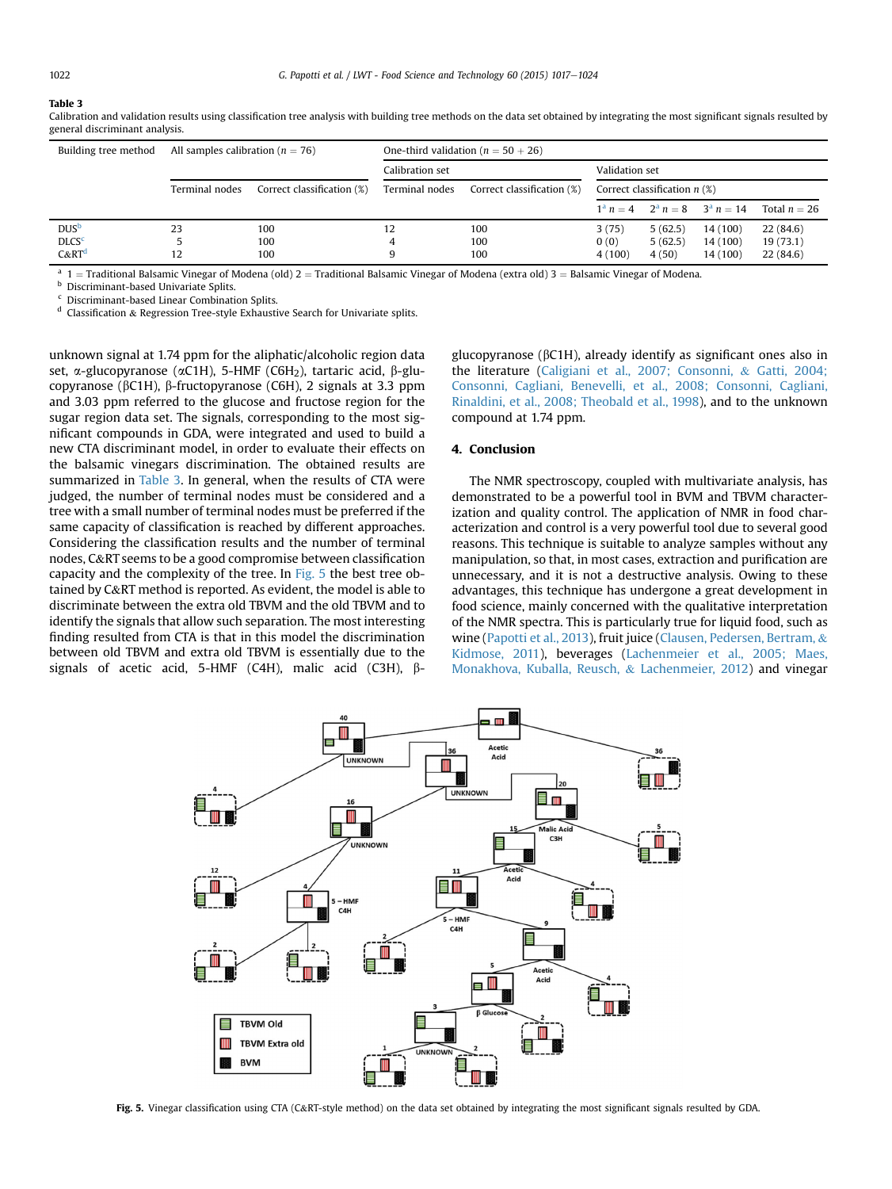#### Table 3

| Building tree method    | All samples calibration ( $n = 76$ ) |                            | One-third validation ( $n = 50 + 26$ ) |                            |                                |         |                                      |                |
|-------------------------|--------------------------------------|----------------------------|----------------------------------------|----------------------------|--------------------------------|---------|--------------------------------------|----------------|
|                         |                                      |                            | Calibration set                        |                            | Validation set                 |         |                                      |                |
|                         | Terminal nodes                       | Correct classification (%) | Terminal nodes                         | Correct classification (%) | Correct classification $n$ (%) |         |                                      |                |
|                         |                                      |                            |                                        |                            |                                |         | $1^a n = 4$ $2^a n = 8$ $3^a n = 14$ | Total $n = 26$ |
| <b>DUS</b> <sup>b</sup> | 23                                   | 100                        | 12                                     | 100                        | 3(75)                          | 5(62.5) | 14 (100)                             | 22(84.6)       |
| <b>DLCS<sup>c</sup></b> |                                      | 100                        |                                        | 100                        | 0(0)                           | 5(62.5) | 14 (100)                             | 19(73.1)       |
| $C\&RTd$                | 12                                   | 100                        |                                        | 100                        | 4(100)                         | 4(50)   | 14 (100)                             | 22(84.6)       |

Calibration and validation results using classification tree analysis with building tree methods on the data set obtained by integrating the most significant signals resulted by general discriminant analysis.

<sup>a</sup> 1 = Traditional Balsamic Vinegar of Modena (old) 2 = Traditional Balsamic Vinegar of Modena (extra old) 3 = Balsamic Vinegar of Modena. **b** Discriminant-based Univariate Splits.

<sup>c</sup> Discriminant-based Linear Combination Splits.

 $d$  Classification & Regression Tree-style Exhaustive Search for Univariate splits.

unknown signal at 1.74 ppm for the aliphatic/alcoholic region data set,  $\alpha$ -glucopyranose ( $\alpha$ C1H), 5-HMF (C6H<sub>2</sub>), tartaric acid,  $\beta$ -glucopyranose (bC1H), b-fructopyranose (C6H), 2 signals at 3.3 ppm and 3.03 ppm referred to the glucose and fructose region for the sugar region data set. The signals, corresponding to the most significant compounds in GDA, were integrated and used to build a new CTA discriminant model, in order to evaluate their effects on the balsamic vinegars discrimination. The obtained results are summarized in Table 3. In general, when the results of CTA were judged, the number of terminal nodes must be considered and a tree with a small number of terminal nodes must be preferred if the same capacity of classification is reached by different approaches. Considering the classification results and the number of terminal nodes, C&RT seems to be a good compromise between classification capacity and the complexity of the tree. In Fig. 5 the best tree obtained by C&RT method is reported. As evident, the model is able to discriminate between the extra old TBVM and the old TBVM and to identify the signals that allow such separation. The most interesting finding resulted from CTA is that in this model the discrimination between old TBVM and extra old TBVM is essentially due to the signals of acetic acid, 5-HMF (C4H), malic acid (C3H),  $\beta$ - glucopyranose (bC1H), already identify as significant ones also in the literature ([Caligiani et al., 2007; Consonni,](#page-6-0) & [Gatti, 2004;](#page-6-0) [Consonni, Cagliani, Benevelli, et al., 2008; Consonni, Cagliani,](#page-6-0) [Rinaldini, et al., 2008; Theobald et al., 1998\)](#page-6-0), and to the unknown compound at 1.74 ppm.

#### 4. Conclusion

The NMR spectroscopy, coupled with multivariate analysis, has demonstrated to be a powerful tool in BVM and TBVM characterization and quality control. The application of NMR in food characterization and control is a very powerful tool due to several good reasons. This technique is suitable to analyze samples without any manipulation, so that, in most cases, extraction and purification are unnecessary, and it is not a destructive analysis. Owing to these advantages, this technique has undergone a great development in food science, mainly concerned with the qualitative interpretation of the NMR spectra. This is particularly true for liquid food, such as wine [\(Papotti et al., 2013](#page-6-0)), fruit juice ([Clausen, Pedersen, Bertram,](#page-6-0) & [Kidmose, 2011\)](#page-6-0), beverages [\(Lachenmeier et al., 2005; Maes,](#page-6-0) [Monakhova, Kuballa, Reusch,](#page-6-0) & [Lachenmeier, 2012\)](#page-6-0) and vinegar



Fig. 5. Vinegar classification using CTA (C&RT-style method) on the data set obtained by integrating the most significant signals resulted by GDA.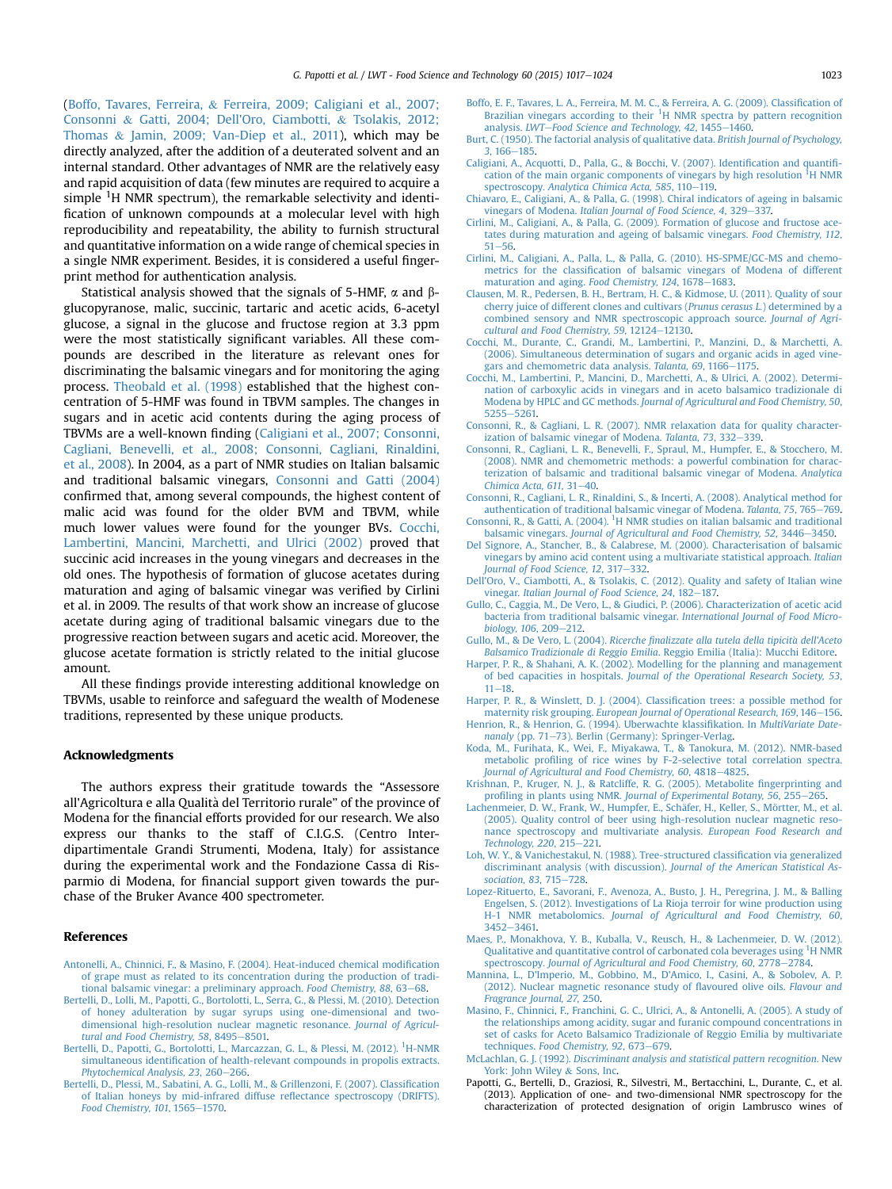<span id="page-6-0"></span>(Boffo, Tavares, Ferreira, & Ferreira, 2009; Caligiani et al., 2007; Consonni & Gatti, 2004; Dell'Oro, Ciambotti, & Tsolakis, 2012; Thomas & Jamin, 2009; Van-Diep et al., 2011), which may be directly analyzed, after the addition of a deuterated solvent and an internal standard. Other advantages of NMR are the relatively easy and rapid acquisition of data (few minutes are required to acquire a simple <sup>1</sup>H NMR spectrum), the remarkable selectivity and identification of unknown compounds at a molecular level with high reproducibility and repeatability, the ability to furnish structural and quantitative information on a wide range of chemical species in a single NMR experiment. Besides, it is considered a useful fingerprint method for authentication analysis.

Statistical analysis showed that the signals of 5-HMF,  $\alpha$  and  $\beta$ glucopyranose, malic, succinic, tartaric and acetic acids, 6-acetyl glucose, a signal in the glucose and fructose region at 3.3 ppm were the most statistically significant variables. All these compounds are described in the literature as relevant ones for discriminating the balsamic vinegars and for monitoring the aging process. [Theobald et al. \(1998\)](#page-7-0) established that the highest concentration of 5-HMF was found in TBVM samples. The changes in sugars and in acetic acid contents during the aging process of TBVMs are a well-known finding (Caligiani et al., 2007; Consonni, Cagliani, Benevelli, et al., 2008; Consonni, Cagliani, Rinaldini, et al., 2008). In 2004, as a part of NMR studies on Italian balsamic and traditional balsamic vinegars, Consonni and Gatti (2004) confirmed that, among several compounds, the highest content of malic acid was found for the older BVM and TBVM, while much lower values were found for the younger BVs. Cocchi, Lambertini, Mancini, Marchetti, and Ulrici (2002) proved that succinic acid increases in the young vinegars and decreases in the old ones. The hypothesis of formation of glucose acetates during maturation and aging of balsamic vinegar was verified by Cirlini et al. in 2009. The results of that work show an increase of glucose acetate during aging of traditional balsamic vinegars due to the progressive reaction between sugars and acetic acid. Moreover, the glucose acetate formation is strictly related to the initial glucose amount.

All these findings provide interesting additional knowledge on TBVMs, usable to reinforce and safeguard the wealth of Modenese traditions, represented by these unique products.

### Acknowledgments

The authors express their gratitude towards the "Assessore all'Agricoltura e alla Qualità del Territorio rurale" of the province of Modena for the financial efforts provided for our research. We also express our thanks to the staff of C.I.G.S. (Centro Interdipartimentale Grandi Strumenti, Modena, Italy) for assistance during the experimental work and the Fondazione Cassa di Risparmio di Modena, for financial support given towards the purchase of the Bruker Avance 400 spectrometer.

## References

- [Antonelli, A., Chinnici, F., & Masino, F. \(2004\). Heat-induced chemical modi](http://refhub.elsevier.com/S0023-6438(14)00677-X/sref1)fication [of grape must as related to its concentration during the production of tradi](http://refhub.elsevier.com/S0023-6438(14)00677-X/sref1)[tional balsamic vinegar: a preliminary approach.](http://refhub.elsevier.com/S0023-6438(14)00677-X/sref1) Food Chemistry, 88, 63-[68.](http://refhub.elsevier.com/S0023-6438(14)00677-X/sref1)
- [Bertelli, D., Lolli, M., Papotti, G., Bortolotti, L., Serra, G., & Plessi, M. \(2010\). Detection](http://refhub.elsevier.com/S0023-6438(14)00677-X/sref2) [of honey adulteration by sugar syrups using one-dimensional and two](http://refhub.elsevier.com/S0023-6438(14)00677-X/sref2)[dimensional high-resolution nuclear magnetic resonance.](http://refhub.elsevier.com/S0023-6438(14)00677-X/sref2) Journal of Agricul[tural and Food Chemistry, 58](http://refhub.elsevier.com/S0023-6438(14)00677-X/sref2), 8495-[8501.](http://refhub.elsevier.com/S0023-6438(14)00677-X/sref2)
- [Bertelli,](http://refhub.elsevier.com/S0023-6438(14)00677-X/sref3) [D.,](http://refhub.elsevier.com/S0023-6438(14)00677-X/sref3) [Papotti,](http://refhub.elsevier.com/S0023-6438(14)00677-X/sref3) [G.,](http://refhub.elsevier.com/S0023-6438(14)00677-X/sref3) [Bortolotti,](http://refhub.elsevier.com/S0023-6438(14)00677-X/sref3) [L.,](http://refhub.elsevier.com/S0023-6438(14)00677-X/sref3) [Marcazzan,](http://refhub.elsevier.com/S0023-6438(14)00677-X/sref3) [G.](http://refhub.elsevier.com/S0023-6438(14)00677-X/sref3) L., [&](http://refhub.elsevier.com/S0023-6438(14)00677-X/sref3) [Plessi,](http://refhub.elsevier.com/S0023-6438(14)00677-X/sref3) [M.](http://refhub.elsevier.com/S0023-6438(14)00677-X/sref3) [\(2012\).](http://refhub.elsevier.com/S0023-6438(14)00677-X/sref3) <sup>1</sup>[H-NMR](http://refhub.elsevier.com/S0023-6438(14)00677-X/sref3) simultaneous identifi[cation of health-relevant compounds in propolis extracts.](http://refhub.elsevier.com/S0023-6438(14)00677-X/sref3) [Phytochemical Analysis, 23](http://refhub.elsevier.com/S0023-6438(14)00677-X/sref3), 260-[266.](http://refhub.elsevier.com/S0023-6438(14)00677-X/sref3)
- [Bertelli, D., Plessi, M., Sabatini, A. G., Lolli, M., & Grillenzoni, F. \(2007\). Classi](http://refhub.elsevier.com/S0023-6438(14)00677-X/sref4)fication [of Italian honeys by mid-infrared diffuse re](http://refhub.elsevier.com/S0023-6438(14)00677-X/sref4)flectance spectroscopy (DRIFTS). [Food Chemistry, 101](http://refhub.elsevier.com/S0023-6438(14)00677-X/sref4), 1565-[1570.](http://refhub.elsevier.com/S0023-6438(14)00677-X/sref4)
- [Boffo, E. F., Tavares, L. A., Ferreira, M. M. C., & Ferreira, A. G. \(2009\). Classi](http://refhub.elsevier.com/S0023-6438(14)00677-X/sref5)fication of [Brazilian](http://refhub.elsevier.com/S0023-6438(14)00677-X/sref5) [vinegars](http://refhub.elsevier.com/S0023-6438(14)00677-X/sref5) [according](http://refhub.elsevier.com/S0023-6438(14)00677-X/sref5) [to](http://refhub.elsevier.com/S0023-6438(14)00677-X/sref5) [their](http://refhub.elsevier.com/S0023-6438(14)00677-X/sref5)  ${}^{1}H$  NMR spectra by pattern recognition [analysis.](http://refhub.elsevier.com/S0023-6438(14)00677-X/sref5) LWT-[Food Science and Technology, 42](http://refhub.elsevier.com/S0023-6438(14)00677-X/sref5), 1455-[1460.](http://refhub.elsevier.com/S0023-6438(14)00677-X/sref5)
- [Burt, C. \(1950\). The factorial analysis of qualitative data.](http://refhub.elsevier.com/S0023-6438(14)00677-X/sref6) British Journal of Psychology,  $3.166 - 185.$  $3.166 - 185.$  $3.166 - 185.$
- [Caligiani, A., Acquotti, D., Palla, G., & Bocchi, V. \(2007\). Identi](http://refhub.elsevier.com/S0023-6438(14)00677-X/sref7)fication and quantifi[cation](http://refhub.elsevier.com/S0023-6438(14)00677-X/sref7) [of](http://refhub.elsevier.com/S0023-6438(14)00677-X/sref7) [the](http://refhub.elsevier.com/S0023-6438(14)00677-X/sref7) [main](http://refhub.elsevier.com/S0023-6438(14)00677-X/sref7) [organic](http://refhub.elsevier.com/S0023-6438(14)00677-X/sref7) [components](http://refhub.elsevier.com/S0023-6438(14)00677-X/sref7) of [vinegars](http://refhub.elsevier.com/S0023-6438(14)00677-X/sref7) [by](http://refhub.elsevier.com/S0023-6438(14)00677-X/sref7) [high](http://refhub.elsevier.com/S0023-6438(14)00677-X/sref7) [resolution](http://refhub.elsevier.com/S0023-6438(14)00677-X/sref7) <sup>I</sup>[H NMR](http://refhub.elsevier.com/S0023-6438(14)00677-X/sref7) spectroscopy. [Analytica Chimica Acta, 585](http://refhub.elsevier.com/S0023-6438(14)00677-X/sref7), 110-[119](http://refhub.elsevier.com/S0023-6438(14)00677-X/sref7).
- [Chiavaro, E., Caligiani, A., & Palla, G. \(1998\). Chiral indicators of ageing in balsamic](http://refhub.elsevier.com/S0023-6438(14)00677-X/sref8) vinegars of Modena. [Italian Journal of Food Science, 4](http://refhub.elsevier.com/S0023-6438(14)00677-X/sref8), 329-[337.](http://refhub.elsevier.com/S0023-6438(14)00677-X/sref8)
- [Cirlini, M., Caligiani, A., & Palla, G. \(2009\). Formation of glucose and fructose ace](http://refhub.elsevier.com/S0023-6438(14)00677-X/sref9)[tates during maturation and ageing of balsamic vinegars.](http://refhub.elsevier.com/S0023-6438(14)00677-X/sref9) Food Chemistry, 112,  $51 - 56$  $51 - 56$
- [Cirlini, M., Caligiani, A., Palla, L., & Palla, G. \(2010\). HS-SPME/GC-MS and chemo](http://refhub.elsevier.com/S0023-6438(14)00677-X/sref10)metrics for the classifi[cation of balsamic vinegars of Modena of different](http://refhub.elsevier.com/S0023-6438(14)00677-X/sref10) [maturation and aging.](http://refhub.elsevier.com/S0023-6438(14)00677-X/sref10) Food Chemistry, 124, 1678-[1683.](http://refhub.elsevier.com/S0023-6438(14)00677-X/sref10)
- [Clausen, M. R., Pedersen, B. H., Bertram, H. C., & Kidmose, U. \(2011\). Quality of sour](http://refhub.elsevier.com/S0023-6438(14)00677-X/sref11) [cherry juice of different clones and cultivars \(](http://refhub.elsevier.com/S0023-6438(14)00677-X/sref11)Prunus cerasus L.) determined by a [combined sensory and NMR spectroscopic approach source.](http://refhub.elsevier.com/S0023-6438(14)00677-X/sref11) Journal of Agri $cutural$  and Food Chemistry, 59, 12124-[12130](http://refhub.elsevier.com/S0023-6438(14)00677-X/sref11).
- [Cocchi, M., Durante, C., Grandi, M., Lambertini, P., Manzini, D., & Marchetti, A.](http://refhub.elsevier.com/S0023-6438(14)00677-X/sref12) [\(2006\). Simultaneous determination of sugars and organic acids in aged vine](http://refhub.elsevier.com/S0023-6438(14)00677-X/sref12)[gars and chemometric data analysis.](http://refhub.elsevier.com/S0023-6438(14)00677-X/sref12) Talanta, 69, 1166-[1175](http://refhub.elsevier.com/S0023-6438(14)00677-X/sref12).
- [Cocchi, M., Lambertini, P., Mancini, D., Marchetti, A., & Ulrici, A. \(2002\). Determi](http://refhub.elsevier.com/S0023-6438(14)00677-X/sref13)[nation of carboxylic acids in vinegars and in aceto balsamico tradizionale di](http://refhub.elsevier.com/S0023-6438(14)00677-X/sref13) Modena by HPLC and GC methods. [Journal of Agricultural and Food Chemistry, 50](http://refhub.elsevier.com/S0023-6438(14)00677-X/sref13), [5255](http://refhub.elsevier.com/S0023-6438(14)00677-X/sref13)-5261
- [Consonni, R., & Cagliani, L. R. \(2007\). NMR relaxation data for quality character](http://refhub.elsevier.com/S0023-6438(14)00677-X/sref14)[ization of balsamic vinegar of Modena.](http://refhub.elsevier.com/S0023-6438(14)00677-X/sref14) Talanta, 73, 332-[339](http://refhub.elsevier.com/S0023-6438(14)00677-X/sref14).
- [Consonni, R., Cagliani, L. R., Benevelli, F., Spraul, M., Humpfer, E., & Stocchero, M.](http://refhub.elsevier.com/S0023-6438(14)00677-X/sref15) [\(2008\). NMR and chemometric methods: a powerful combination for charac](http://refhub.elsevier.com/S0023-6438(14)00677-X/sref15)[terization of balsamic and traditional balsamic vinegar of Modena.](http://refhub.elsevier.com/S0023-6438(14)00677-X/sref15) Analytica [Chimica Acta, 611](http://refhub.elsevier.com/S0023-6438(14)00677-X/sref15), 31 $-40$  $-40$ .
- [Consonni, R., Cagliani, L. R., Rinaldini, S., & Incerti, A. \(2008\). Analytical method for](http://refhub.elsevier.com/S0023-6438(14)00677-X/sref16) [authentication of traditional balsamic vinegar of Modena.](http://refhub.elsevier.com/S0023-6438(14)00677-X/sref16) Talanta, 75, 765-[769](http://refhub.elsevier.com/S0023-6438(14)00677-X/sref16).
- [Consonni,](http://refhub.elsevier.com/S0023-6438(14)00677-X/sref17) [R.,](http://refhub.elsevier.com/S0023-6438(14)00677-X/sref17) [&](http://refhub.elsevier.com/S0023-6438(14)00677-X/sref17) [Gatti,](http://refhub.elsevier.com/S0023-6438(14)00677-X/sref17) [A.](http://refhub.elsevier.com/S0023-6438(14)00677-X/sref17) [\(2004\).](http://refhub.elsevier.com/S0023-6438(14)00677-X/sref17) <sup>1</sup>[H NMR studies on italian balsamic and traditional](http://refhub.elsevier.com/S0023-6438(14)00677-X/sref17) balsamic vinegars. [Journal of Agricultural and Food Chemistry, 52](http://refhub.elsevier.com/S0023-6438(14)00677-X/sref17), 3446-[3450](http://refhub.elsevier.com/S0023-6438(14)00677-X/sref17).
- [Del Signore, A., Stancher, B., & Calabrese, M. \(2000\). Characterisation of balsamic](http://refhub.elsevier.com/S0023-6438(14)00677-X/sref18) [vinegars by amino acid content using a multivariate statistical approach.](http://refhub.elsevier.com/S0023-6438(14)00677-X/sref18) Italian [Journal of Food Science, 12](http://refhub.elsevier.com/S0023-6438(14)00677-X/sref18), 317-[332](http://refhub.elsevier.com/S0023-6438(14)00677-X/sref18).
- [Dell'Oro, V., Ciambotti, A., & Tsolakis, C. \(2012\). Quality and safety of Italian wine](http://refhub.elsevier.com/S0023-6438(14)00677-X/sref19) vinegar. [Italian Journal of Food Science, 24](http://refhub.elsevier.com/S0023-6438(14)00677-X/sref19), 182-[187.](http://refhub.elsevier.com/S0023-6438(14)00677-X/sref19)
- [Gullo, C., Caggia, M., De Vero, L., & Giudici, P. \(2006\). Characterization of acetic acid](http://refhub.elsevier.com/S0023-6438(14)00677-X/sref20) [bacteria from traditional balsamic vinegar.](http://refhub.elsevier.com/S0023-6438(14)00677-X/sref20) International Journal of Food Micro[biology, 106](http://refhub.elsevier.com/S0023-6438(14)00677-X/sref20), 209-[212](http://refhub.elsevier.com/S0023-6438(14)00677-X/sref20).
- [Gullo, M., & De Vero, L. \(2004\).](http://refhub.elsevier.com/S0023-6438(14)00677-X/sref21) Ricerche finalizzate alla tutela della tipicita [dell'Aceto](http://refhub.elsevier.com/S0023-6438(14)00677-X/sref21) Balsamico Tradizionale di Reggio Emilia[. Reggio Emilia \(Italia\): Mucchi Editore.](http://refhub.elsevier.com/S0023-6438(14)00677-X/sref21)
- [Harper, P. R., & Shahani, A. K. \(2002\). Modelling for the planning and management](http://refhub.elsevier.com/S0023-6438(14)00677-X/sref22) of bed capacities in hospitals. [Journal of the Operational Research Society, 53](http://refhub.elsevier.com/S0023-6438(14)00677-X/sref22),  $11 - 18$  $11 - 18$
- [Harper, P. R., & Winslett, D. J. \(2004\). Classi](http://refhub.elsevier.com/S0023-6438(14)00677-X/sref23)fication trees: a possible method for maternity risk grouping. [European Journal of Operational Research, 169](http://refhub.elsevier.com/S0023-6438(14)00677-X/sref23), 146-[156](http://refhub.elsevier.com/S0023-6438(14)00677-X/sref23).
- [Henrion, R., & Henrion, G. \(1994\). Uberwachte klassi](http://refhub.elsevier.com/S0023-6438(14)00677-X/sref24)fikation. In MultiVariate Date-nanaly [\(pp. 71](http://refhub.elsevier.com/S0023-6438(14)00677-X/sref24)-[73\). Berlin \(Germany\): Springer-Verlag](http://refhub.elsevier.com/S0023-6438(14)00677-X/sref24).
- [Koda, M., Furihata, K., Wei, F., Miyakawa, T., & Tanokura, M. \(2012\). NMR-based](http://refhub.elsevier.com/S0023-6438(14)00677-X/sref25) metabolic profi[ling of rice wines by F-2-selective total correlation spectra.](http://refhub.elsevier.com/S0023-6438(14)00677-X/sref25) [Journal of Agricultural and Food Chemistry, 60](http://refhub.elsevier.com/S0023-6438(14)00677-X/sref25), 4818-[4825.](http://refhub.elsevier.com/S0023-6438(14)00677-X/sref25)
- [Krishnan, P., Kruger, N. J., & Ratcliffe, R. G. \(2005\). Metabolite](http://refhub.elsevier.com/S0023-6438(14)00677-X/sref26) fingerprinting and profiling in plants using NMR. [Journal of Experimental Botany, 56](http://refhub.elsevier.com/S0023-6438(14)00677-X/sref26), 255-[265](http://refhub.elsevier.com/S0023-6438(14)00677-X/sref26).
- [Lachenmeier, D. W., Frank, W., Humpfer, E., Sch](http://refhub.elsevier.com/S0023-6438(14)00677-X/sref27)äfer, H., Keller, S., Mörtter, M., et al. [\(2005\). Quality control of beer using high-resolution nuclear magnetic reso](http://refhub.elsevier.com/S0023-6438(14)00677-X/sref27)[nance spectroscopy and multivariate analysis.](http://refhub.elsevier.com/S0023-6438(14)00677-X/sref27) European Food Research and [Technology, 220](http://refhub.elsevier.com/S0023-6438(14)00677-X/sref27), 215-[221.](http://refhub.elsevier.com/S0023-6438(14)00677-X/sref27)
- [Loh, W. Y., & Vanichestakul, N. \(1988\). Tree-structured classi](http://refhub.elsevier.com/S0023-6438(14)00677-X/sref28)fication via generalized [discriminant analysis \(with discussion\).](http://refhub.elsevier.com/S0023-6438(14)00677-X/sref28) Journal of the American Statistical As[sociation, 83](http://refhub.elsevier.com/S0023-6438(14)00677-X/sref28), 715-[728.](http://refhub.elsevier.com/S0023-6438(14)00677-X/sref28)
- [Lopez-Rituerto, E., Savorani, F., Avenoza, A., Busto, J. H., Peregrina, J. M., & Balling](http://refhub.elsevier.com/S0023-6438(14)00677-X/sref29) [Engelsen, S. \(2012\). Investigations of La Rioja terroir for wine production using](http://refhub.elsevier.com/S0023-6438(14)00677-X/sref29) H-1 NMR metabolomics. [Journal of Agricultural and Food Chemistry, 60](http://refhub.elsevier.com/S0023-6438(14)00677-X/sref29), [3452](http://refhub.elsevier.com/S0023-6438(14)00677-X/sref29)-[3461.](http://refhub.elsevier.com/S0023-6438(14)00677-X/sref29)
- [Maes, P., Monakhova, Y. B., Kuballa, V., Reusch, H., & Lachenmeier, D. W. \(2012\).](http://refhub.elsevier.com/S0023-6438(14)00677-X/sref30) [Qualitative](http://refhub.elsevier.com/S0023-6438(14)00677-X/sref30) [and](http://refhub.elsevier.com/S0023-6438(14)00677-X/sref30) [quantitative](http://refhub.elsevier.com/S0023-6438(14)00677-X/sref30) [control](http://refhub.elsevier.com/S0023-6438(14)00677-X/sref30) [of](http://refhub.elsevier.com/S0023-6438(14)00677-X/sref30) [carbonated](http://refhub.elsevier.com/S0023-6438(14)00677-X/sref30) [cola](http://refhub.elsevier.com/S0023-6438(14)00677-X/sref30) [beverages](http://refhub.elsevier.com/S0023-6438(14)00677-X/sref30) [using](http://refhub.elsevier.com/S0023-6438(14)00677-X/sref30) <sup>1</sup>[H NMR](http://refhub.elsevier.com/S0023-6438(14)00677-X/sref30) spectroscopy. [Journal of Agricultural and Food Chemistry, 60](http://refhub.elsevier.com/S0023-6438(14)00677-X/sref30), 2778-[2784](http://refhub.elsevier.com/S0023-6438(14)00677-X/sref30).
- [Mannina, L., D'Imperio, M., Gobbino, M., D'Amico, I., Casini, A., & Sobolev, A. P.](http://refhub.elsevier.com/S0023-6438(14)00677-X/sref31) [\(2012\). Nuclear magnetic resonance study of](http://refhub.elsevier.com/S0023-6438(14)00677-X/sref31) flavoured olive oils. Flavour and [Fragrance Journal, 27](http://refhub.elsevier.com/S0023-6438(14)00677-X/sref31), 250.
- [Masino, F., Chinnici, F., Franchini, G. C., Ulrici, A., & Antonelli, A. \(2005\). A study of](http://refhub.elsevier.com/S0023-6438(14)00677-X/sref32) [the relationships among acidity, sugar and furanic compound concentrations in](http://refhub.elsevier.com/S0023-6438(14)00677-X/sref32) [set of casks for Aceto Balsamico Tradizionale of Reggio Emilia by multivariate](http://refhub.elsevier.com/S0023-6438(14)00677-X/sref32) techniques. [Food Chemistry, 92](http://refhub.elsevier.com/S0023-6438(14)00677-X/sref32), 673-[679](http://refhub.elsevier.com/S0023-6438(14)00677-X/sref32).
- McLachlan, G. J. (1992). [Discriminant analysis and statistical pattern recognition](http://refhub.elsevier.com/S0023-6438(14)00677-X/sref33). New [York: John Wiley](http://refhub.elsevier.com/S0023-6438(14)00677-X/sref33) & [Sons, Inc.](http://refhub.elsevier.com/S0023-6438(14)00677-X/sref33)
- Papotti, G., Bertelli, D., Graziosi, R., Silvestri, M., Bertacchini, L., Durante, C., et al. (2013). Application of one- and two-dimensional NMR spectroscopy for the characterization of protected designation of origin Lambrusco wines of